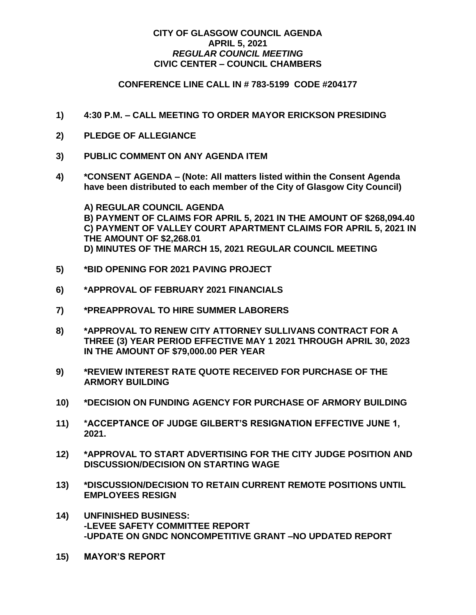## **CITY OF GLASGOW COUNCIL AGENDA APRIL 5, 2021** *REGULAR COUNCIL MEETING* **CIVIC CENTER – COUNCIL CHAMBERS**

## **CONFERENCE LINE CALL IN # 783-5199 CODE #204177**

- **1) 4:30 P.M. – CALL MEETING TO ORDER MAYOR ERICKSON PRESIDING**
- **2) PLEDGE OF ALLEGIANCE**
- **3) PUBLIC COMMENT ON ANY AGENDA ITEM**
- **4) \*CONSENT AGENDA – (Note: All matters listed within the Consent Agenda have been distributed to each member of the City of Glasgow City Council)**

**A) REGULAR COUNCIL AGENDA B) PAYMENT OF CLAIMS FOR APRIL 5, 2021 IN THE AMOUNT OF \$268,094.40 C) PAYMENT OF VALLEY COURT APARTMENT CLAIMS FOR APRIL 5, 2021 IN THE AMOUNT OF \$2,268.01 D) MINUTES OF THE MARCH 15, 2021 REGULAR COUNCIL MEETING**

- **5) \*BID OPENING FOR 2021 PAVING PROJECT**
- **6) \*APPROVAL OF FEBRUARY 2021 FINANCIALS**
- **7) \*PREAPPROVAL TO HIRE SUMMER LABORERS**
- **8) \*APPROVAL TO RENEW CITY ATTORNEY SULLIVANS CONTRACT FOR A THREE (3) YEAR PERIOD EFFECTIVE MAY 1 2021 THROUGH APRIL 30, 2023 IN THE AMOUNT OF \$79,000.00 PER YEAR**
- **9) \*REVIEW INTEREST RATE QUOTE RECEIVED FOR PURCHASE OF THE ARMORY BUILDING**
- **10) \*DECISION ON FUNDING AGENCY FOR PURCHASE OF ARMORY BUILDING**
- **11) \*ACCEPTANCE OF JUDGE GILBERT'S RESIGNATION EFFECTIVE JUNE 1, 2021.**
- **12) \*APPROVAL TO START ADVERTISING FOR THE CITY JUDGE POSITION AND DISCUSSION/DECISION ON STARTING WAGE**
- **13) \*DISCUSSION/DECISION TO RETAIN CURRENT REMOTE POSITIONS UNTIL EMPLOYEES RESIGN**
- **14) UNFINISHED BUSINESS: -LEVEE SAFETY COMMITTEE REPORT -UPDATE ON GNDC NONCOMPETITIVE GRANT –NO UPDATED REPORT**
- **15) MAYOR'S REPORT**